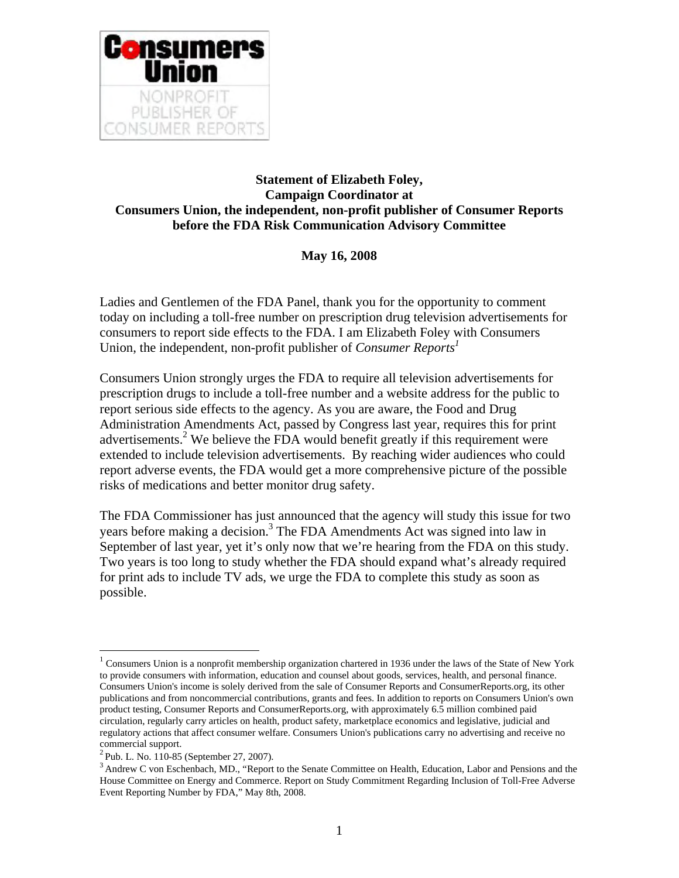

## **Statement of Elizabeth Foley, Campaign Coordinator at Consumers Union, the independent, non-profit publisher of Consumer Reports before the FDA Risk Communication Advisory Committee**

**May 16, 2008**

Ladies and Gentlemen of the FDA Panel, thank you for the opportunity to comment today on including a toll-free number on prescription drug television advertisements for consumers to report side effects to the FDA. I am Elizabeth Foley with Consumers Union, the independent, non-profit publisher of *Consumer Report[s1](#page-0-0)*

Consumers Union strongly urges the FDA to require all television advertisements for prescription drugs to include a toll-free number and a website address for the public to report serious side effects to the agency. As you are aware, the Food and Drug Administration Amendments Act, passed by Congress last year, requires this for print advertisements.<sup>2</sup> We believe the FDA would benefit greatly if this requirement were extended to include television advertisements. By reaching wider audiences who could report adverse events, the FDA would get a more comprehensive picture of the possible risks of medications and better monitor drug safety.

The FDA Commissioner has just announced that the agency will study this issue for two years before making a decision.<sup>3</sup> The FDA Amendments Act was signed into law in September of last year, yet it's only now that we're hearing from the FDA on this study. Two years is too long to study whether the FDA should expand what's already required for print ads to include TV ads, we urge the FDA to complete this study as soon as possible.

 $\overline{a}$ 

<span id="page-0-0"></span><sup>&</sup>lt;sup>1</sup> Consumers Union is a nonprofit membership organization chartered in 1936 under the laws of the State of New York to provide consumers with information, education and counsel about goods, services, health, and personal finance. Consumers Union's income is solely derived from the sale of Consumer Reports and ConsumerReports.org, its other publications and from noncommercial contributions, grants and fees. In addition to reports on Consumers Union's own product testing, Consumer Reports and ConsumerReports.org, with approximately 6.5 million combined paid circulation, regularly carry articles on health, product safety, marketplace economics and legislative, judicial and regulatory actions that affect consumer welfare. Consumers Union's publications carry no advertising and receive no commercial support.<br> $^{2}$ Pub. L. No. 110-85 (September 27, 2007).

<span id="page-0-1"></span>

<span id="page-0-2"></span><sup>&</sup>lt;sup>3</sup> Andrew C von Eschenbach, MD., "Report to the Senate Committee on Health, Education, Labor and Pensions and the House Committee on Energy and Commerce. Report on Study Commitment Regarding Inclusion of Toll-Free Adverse Event Reporting Number by FDA," May 8th, 2008.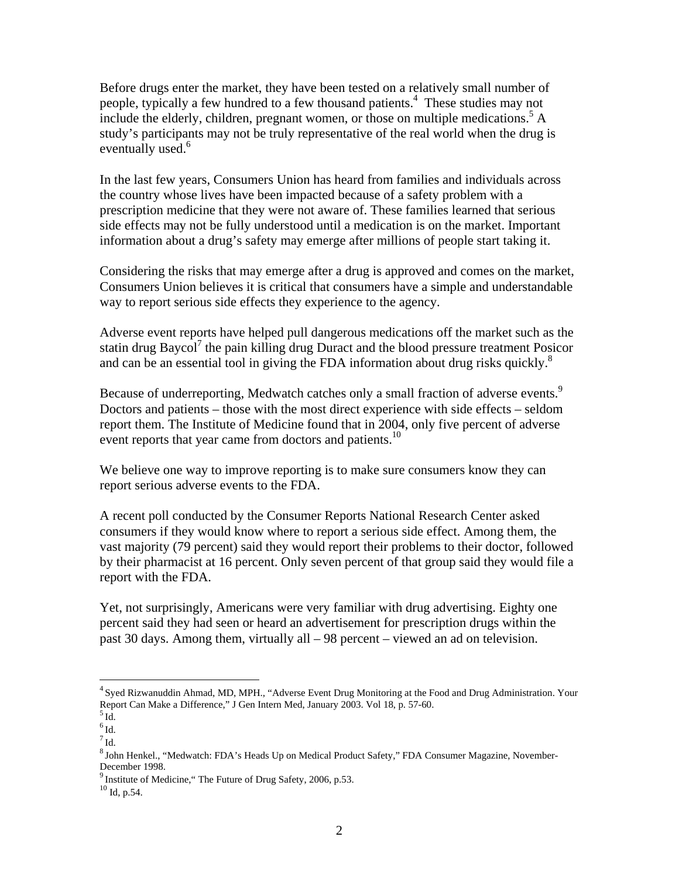Before drugs enter the market, they have been tested on a relatively small number of people, typically a few hundred to a few thousand patients.<sup>[4](#page-1-0)</sup> These studies may not include the elderly, children, pregnant women, or those on multiple medications.<sup>[5](#page-1-1)</sup> A study's participants may not be truly representative of the real world when the drug is eventually used. $6$ 

In the last few years, Consumers Union has heard from families and individuals across the country whose lives have been impacted because of a safety problem with a prescription medicine that they were not aware of. These families learned that serious side effects may not be fully understood until a medication is on the market. Important information about a drug's safety may emerge after millions of people start taking it.

Considering the risks that may emerge after a drug is approved and comes on the market, Consumers Union believes it is critical that consumers have a simple and understandable way to report serious side effects they experience to the agency.

Adverse event reports have helped pull dangerous medications off the market such as the statin drug Baycol<sup>7</sup> the pain killing drug Duract and the blood pressure treatment Posicor and can be an essential tool in giving the FDA information about drug risks quickly. $8$ 

Because of underreporting, Medwatch catches only a small fraction of adverse events.<sup>[9](#page-1-5)</sup> Doctors and patients – those with the most direct experience with side effects – seldom report them. The Institute of Medicine found that in 2004, only five percent of adverse event reports that year came from doctors and patients.<sup>[10](#page-1-6)</sup>

We believe one way to improve reporting is to make sure consumers know they can report serious adverse events to the FDA.

A recent poll conducted by the Consumer Reports National Research Center asked consumers if they would know where to report a serious side effect. Among them, the vast majority (79 percent) said they would report their problems to their doctor, followed by their pharmacist at 16 percent. Only seven percent of that group said they would file a report with the FDA.

Yet, not surprisingly, Americans were very familiar with drug advertising. Eighty one percent said they had seen or heard an advertisement for prescription drugs within the past 30 days. Among them, virtually all – 98 percent – viewed an ad on television.

 $\overline{a}$ 

<span id="page-1-0"></span><sup>&</sup>lt;sup>4</sup> Syed Rizwanuddin Ahmad, MD, MPH., "Adverse Event Drug Monitoring at the Food and Drug Administration. Your Report Can Make a Difference," J Gen Intern Med, January 2003. Vol 18, p. 57-60.<br><sup>5</sup> Id.

<span id="page-1-1"></span>

<span id="page-1-2"></span> $^6\mathrm{Id}.$ 

<span id="page-1-3"></span> $^7$  Id.

<span id="page-1-4"></span><sup>8</sup> John Henkel., "Medwatch: FDA's Heads Up on Medical Product Safety," FDA Consumer Magazine, November-December 1998.<br><sup>9</sup> Institute of Medicine," The Future of Drug Safety, 2006, p.53.<br><sup>10</sup> Id. p.54.

<span id="page-1-5"></span>

<span id="page-1-6"></span>